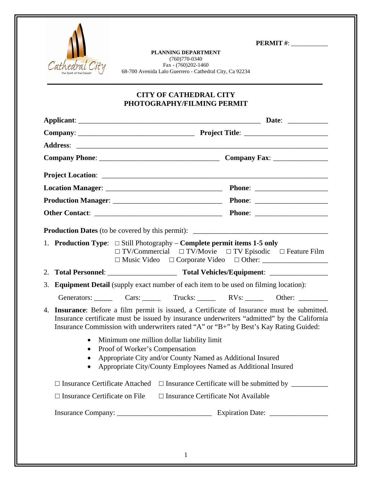

**PLANNING DEPARTMENT**  (760)770-0340 Fax - (760)202-1460 68-700 Avenida Lalo Guerrero - Cathedral City, Ca 92234

## **CITY OF CATHEDRAL CITY PHOTOGRAPHY/FILMING PERMIT**

|  | 1. Production Type: $\Box$ Still Photography – Complete permit items 1-5 only                                                                                                                                                                                                                                                                  | $\Box$ TV/Commercial $\Box$ TV/Movie $\Box$ TV Episodic $\Box$ Feature Film |  |
|--|------------------------------------------------------------------------------------------------------------------------------------------------------------------------------------------------------------------------------------------------------------------------------------------------------------------------------------------------|-----------------------------------------------------------------------------|--|
|  |                                                                                                                                                                                                                                                                                                                                                |                                                                             |  |
|  | 3. Equipment Detail (supply exact number of each item to be used on filming location):                                                                                                                                                                                                                                                         |                                                                             |  |
|  | Generators: Cars: Cars: Trucks: RVs: Other: Cars:                                                                                                                                                                                                                                                                                              |                                                                             |  |
|  | 4. Insurance: Before a film permit is issued, a Certificate of Insurance must be submitted.<br>Insurance certificate must be issued by insurance underwriters "admitted" by the California<br>Insurance Commission with underwriters rated "A" or "B+" by Best's Kay Rating Guided:<br>Minimum one million dollar liability limit<br>$\bullet$ |                                                                             |  |
|  |                                                                                                                                                                                                                                                                                                                                                |                                                                             |  |
|  | Proof of Worker's Compensation<br>Appropriate City and/or County Named as Additional Insured<br>$\bullet$                                                                                                                                                                                                                                      |                                                                             |  |
|  | Appropriate City/County Employees Named as Additional Insured<br>$\bullet$                                                                                                                                                                                                                                                                     |                                                                             |  |
|  | $\Box$ Insurance Certificate Attached $\Box$ Insurance Certificate will be submitted by                                                                                                                                                                                                                                                        |                                                                             |  |
|  | $\Box$ Insurance Certificate on File $\Box$ Insurance Certificate Not Available                                                                                                                                                                                                                                                                |                                                                             |  |
|  |                                                                                                                                                                                                                                                                                                                                                |                                                                             |  |
|  |                                                                                                                                                                                                                                                                                                                                                |                                                                             |  |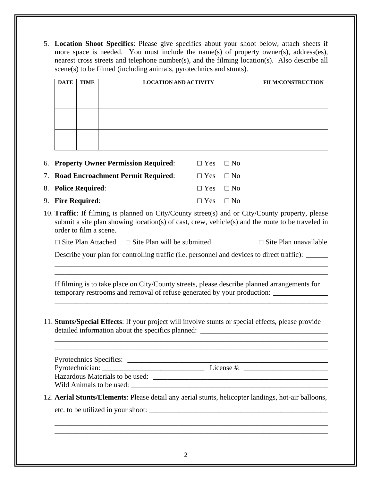5. **Location Shoot Specifics**: Please give specifics about your shoot below, attach sheets if more space is needed. You must include the name(s) of property owner(s), address(es), nearest cross streets and telephone number(s), and the filming location(s). Also describe all scene(s) to be filmed (including animals, pyrotechnics and stunts).

| <b>DATE</b> | <b>TIME</b> | <b>LOCATION AND ACTIVITY</b> | <b>FILM/CONSTRUCTION</b> |
|-------------|-------------|------------------------------|--------------------------|
|             |             |                              |                          |
|             |             |                              |                          |
|             |             |                              |                          |
|             |             |                              |                          |
|             |             |                              |                          |
|             |             |                              |                          |

| <b>6. Property Owner Permission Required:</b> | $\Box$ Yes $\Box$ No |  |
|-----------------------------------------------|----------------------|--|
| 7. Road Encroachment Permit Required:         | $\Box$ Yes $\Box$ No |  |
| 8. Police Required:                           | $\Box$ Yes $\Box$ No |  |
| 9. Fire Required:                             | $\Box$ Yes $\Box$ No |  |

10. **Traffic**: If filming is planned on City/County street(s) and or City/County property, please submit a site plan showing location(s) of cast, crew, vehicle(s) and the route to be traveled in order to film a scene.

 $\Box$  Site Plan Attached  $\Box$  Site Plan will be submitted  $\Box$  Site Plan unavailable

Describe your plan for controlling traffic (i.e. personnel and devices to direct traffic): \_\_\_\_\_\_ \_\_\_\_\_\_\_\_\_\_\_\_\_\_\_\_\_\_\_\_\_\_\_\_\_\_\_\_\_\_\_\_\_\_\_\_\_\_\_\_\_\_\_\_\_\_\_\_\_\_\_\_\_\_\_\_\_\_\_\_\_\_\_\_\_\_\_\_\_\_\_\_\_\_\_

 If filming is to take place on City/County streets, please describe planned arrangements for temporary restrooms and removal of refuse generated by your production:

 \_\_\_\_\_\_\_\_\_\_\_\_\_\_\_\_\_\_\_\_\_\_\_\_\_\_\_\_\_\_\_\_\_\_\_\_\_\_\_\_\_\_\_\_\_\_\_\_\_\_\_\_\_\_\_\_\_\_\_\_\_\_\_\_\_\_\_\_\_\_\_\_\_\_\_ \_\_\_\_\_\_\_\_\_\_\_\_\_\_\_\_\_\_\_\_\_\_\_\_\_\_\_\_\_\_\_\_\_\_\_\_\_\_\_\_\_\_\_\_\_\_\_\_\_\_\_\_\_\_\_\_\_\_\_\_\_\_\_\_\_\_\_\_\_\_\_\_\_\_\_

\_\_\_\_\_\_\_\_\_\_\_\_\_\_\_\_\_\_\_\_\_\_\_\_\_\_\_\_\_\_\_\_\_\_\_\_\_\_\_\_\_\_\_\_\_\_\_\_\_\_\_\_\_\_\_\_\_\_\_\_\_\_\_\_\_\_\_\_\_\_\_\_\_\_\_

11. **Stunts/Special Effects**: If your project will involve stunts or special effects, please provide detailed information about the specifics planned: \_\_\_\_\_\_\_\_\_\_\_\_\_\_\_\_\_\_\_\_\_\_\_\_\_\_\_\_\_\_\_

 \_\_\_\_\_\_\_\_\_\_\_\_\_\_\_\_\_\_\_\_\_\_\_\_\_\_\_\_\_\_\_\_\_\_\_\_\_\_\_\_\_\_\_\_\_\_\_\_\_\_\_\_\_\_\_\_\_\_\_\_\_\_\_\_\_\_\_\_\_\_\_\_\_\_\_ \_\_\_\_\_\_\_\_\_\_\_\_\_\_\_\_\_\_\_\_\_\_\_\_\_\_\_\_\_\_\_\_\_\_\_\_\_\_\_\_\_\_\_\_\_\_\_\_\_\_\_\_\_\_\_\_\_\_\_\_\_\_\_\_\_\_\_\_\_\_\_\_\_\_\_

| <b>Pyrotechnics Specifics:</b>  |            |
|---------------------------------|------------|
| Pyrotechnician:                 | License #: |
| Hazardous Materials to be used: |            |
| Wild Animals to be used:        |            |

12. **Aerial Stunts/Elements**: Please detail any aerial stunts, helicopter landings, hot-air balloons,

 \_\_\_\_\_\_\_\_\_\_\_\_\_\_\_\_\_\_\_\_\_\_\_\_\_\_\_\_\_\_\_\_\_\_\_\_\_\_\_\_\_\_\_\_\_\_\_\_\_\_\_\_\_\_\_\_\_\_\_\_\_\_\_\_\_\_\_\_\_\_\_\_\_\_\_ \_\_\_\_\_\_\_\_\_\_\_\_\_\_\_\_\_\_\_\_\_\_\_\_\_\_\_\_\_\_\_\_\_\_\_\_\_\_\_\_\_\_\_\_\_\_\_\_\_\_\_\_\_\_\_\_\_\_\_\_\_\_\_\_\_\_\_\_\_\_\_\_\_\_\_

etc. to be utilized in your shoot: \_\_\_\_\_\_\_\_\_\_\_\_\_\_\_\_\_\_\_\_\_\_\_\_\_\_\_\_\_\_\_\_\_\_\_\_\_\_\_\_\_\_\_\_\_\_\_\_\_